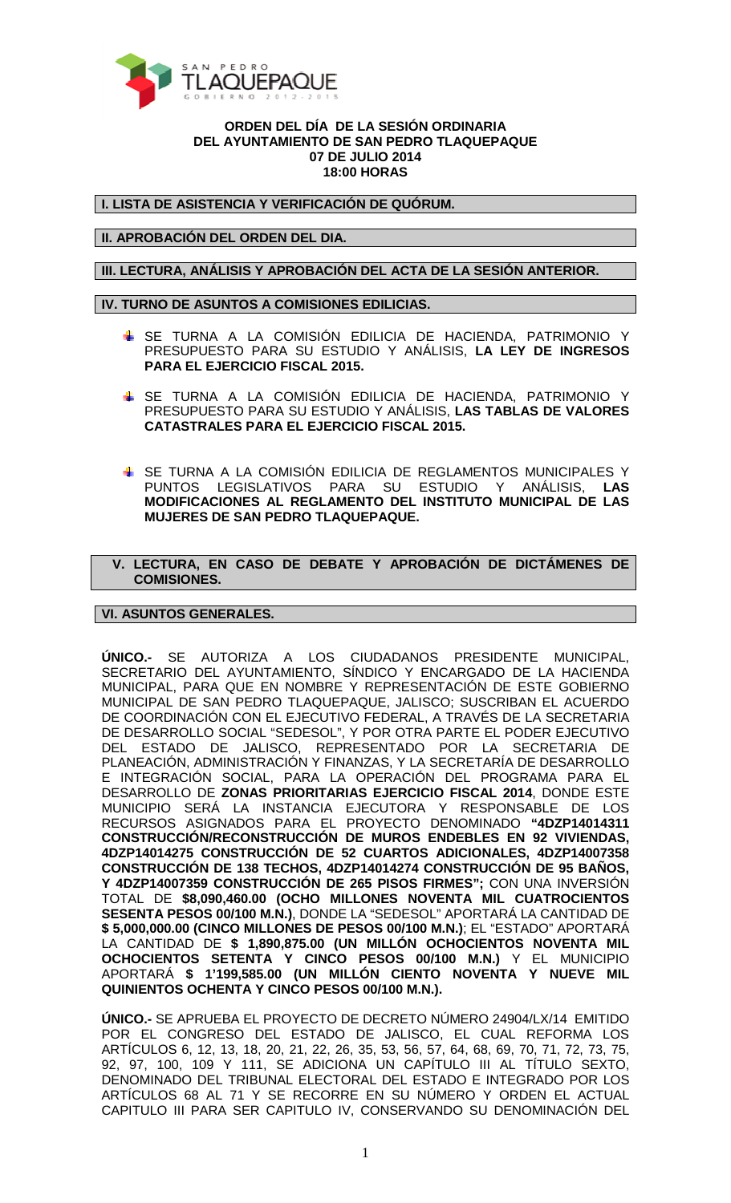

## **ORDEN DEL DÍA DE LA SESIÓN ORDINARIA DEL AYUNTAMIENTO DE SAN PEDRO TLAQUEPAQUE 07 DE JULIO 2014 18:00 HORAS**

**I. LISTA DE ASISTENCIA Y VERIFICACIÓN DE QUÓRUM.** 

**II. APROBACIÓN DEL ORDEN DEL DIA.** 

**III. LECTURA, ANÁLISIS Y APROBACIÓN DEL ACTA DE LA SESIÓN ANTERIOR.** 

**IV. TURNO DE ASUNTOS A COMISIONES EDILICIAS.** 

- SE TURNA A LA COMISIÓN EDILICIA DE HACIENDA, PATRIMONIO Y PRESUPUESTO PARA SU ESTUDIO Y ANÁLISIS, **LA LEY DE INGRESOS PARA EL EJERCICIO FISCAL 2015.**
- SE TURNA A LA COMISIÓN EDILICIA DE HACIENDA, PATRIMONIO Y PRESUPUESTO PARA SU ESTUDIO Y ANÁLISIS, **LAS TABLAS DE VALORES CATASTRALES PARA EL EJERCICIO FISCAL 2015.**
- **4 SE TURNA A LA COMISIÓN EDILICIA DE REGLAMENTOS MUNICIPALES Y** PUNTOS LEGISLATIVOS PARA SU ESTUDIO Y ANÁLISIS, **LAS MODIFICACIONES AL REGLAMENTO DEL INSTITUTO MUNICIPAL DE LAS MUJERES DE SAN PEDRO TLAQUEPAQUE.**
- **V. LECTURA, EN CASO DE DEBATE Y APROBACIÓN DE DICTÁMENES DE COMISIONES.**

## **VI. ASUNTOS GENERALES.**

**ÚNICO.-** SE AUTORIZA A LOS CIUDADANOS PRESIDENTE MUNICIPAL, SECRETARIO DEL AYUNTAMIENTO, SÍNDICO Y ENCARGADO DE LA HACIENDA MUNICIPAL, PARA QUE EN NOMBRE Y REPRESENTACIÓN DE ESTE GOBIERNO MUNICIPAL DE SAN PEDRO TLAQUEPAQUE, JALISCO; SUSCRIBAN EL ACUERDO DE COORDINACIÓN CON EL EJECUTIVO FEDERAL, A TRAVÉS DE LA SECRETARIA DE DESARROLLO SOCIAL "SEDESOL", Y POR OTRA PARTE EL PODER EJECUTIVO DEL ESTADO DE JALISCO, REPRESENTADO POR LA SECRETARIA DE PLANEACIÓN, ADMINISTRACIÓN Y FINANZAS, Y LA SECRETARÍA DE DESARROLLO E INTEGRACIÓN SOCIAL, PARA LA OPERACIÓN DEL PROGRAMA PARA EL DESARROLLO DE **ZONAS PRIORITARIAS EJERCICIO FISCAL 2014**, DONDE ESTE MUNICIPIO SERÁ LA INSTANCIA EJECUTORA Y RESPONSABLE DE LOS RECURSOS ASIGNADOS PARA EL PROYECTO DENOMINADO **"4DZP14014311 CONSTRUCCIÓN/RECONSTRUCCIÓN DE MUROS ENDEBLES EN 92 VIVIENDAS, 4DZP14014275 CONSTRUCCIÓN DE 52 CUARTOS ADICIONALES, 4DZP14007358 CONSTRUCCIÓN DE 138 TECHOS, 4DZP14014274 CONSTRUCCIÓN DE 95 BAÑOS, Y 4DZP14007359 CONSTRUCCIÓN DE 265 PISOS FIRMES";** CON UNA INVERSIÓN TOTAL DE **\$8,090,460.00 (OCHO MILLONES NOVENTA MIL CUATROCIENTOS SESENTA PESOS 00/100 M.N.)**, DONDE LA "SEDESOL" APORTARÁ LA CANTIDAD DE **\$ 5,000,000.00 (CINCO MILLONES DE PESOS 00/100 M.N.)**; EL "ESTADO" APORTARÁ LA CANTIDAD DE **\$ 1,890,875.00 (UN MILLÓN OCHOCIENTOS NOVENTA MIL OCHOCIENTOS SETENTA Y CINCO PESOS 00/100 M.N.)** Y EL MUNICIPIO APORTARÁ **\$ 1'199,585.00 (UN MILLÓN CIENTO NOVENTA Y NUEVE MIL QUINIENTOS OCHENTA Y CINCO PESOS 00/100 M.N.).** 

**ÚNICO.-** SE APRUEBA EL PROYECTO DE DECRETO NÚMERO 24904/LX/14 EMITIDO POR EL CONGRESO DEL ESTADO DE JALISCO, EL CUAL REFORMA LOS ARTÍCULOS 6, 12, 13, 18, 20, 21, 22, 26, 35, 53, 56, 57, 64, 68, 69, 70, 71, 72, 73, 75, 92, 97, 100, 109 Y 111, SE ADICIONA UN CAPÍTULO III AL TÍTULO SEXTO, DENOMINADO DEL TRIBUNAL ELECTORAL DEL ESTADO E INTEGRADO POR LOS ARTÍCULOS 68 AL 71 Y SE RECORRE EN SU NÚMERO Y ORDEN EL ACTUAL CAPITULO III PARA SER CAPITULO IV, CONSERVANDO SU DENOMINACIÓN DEL